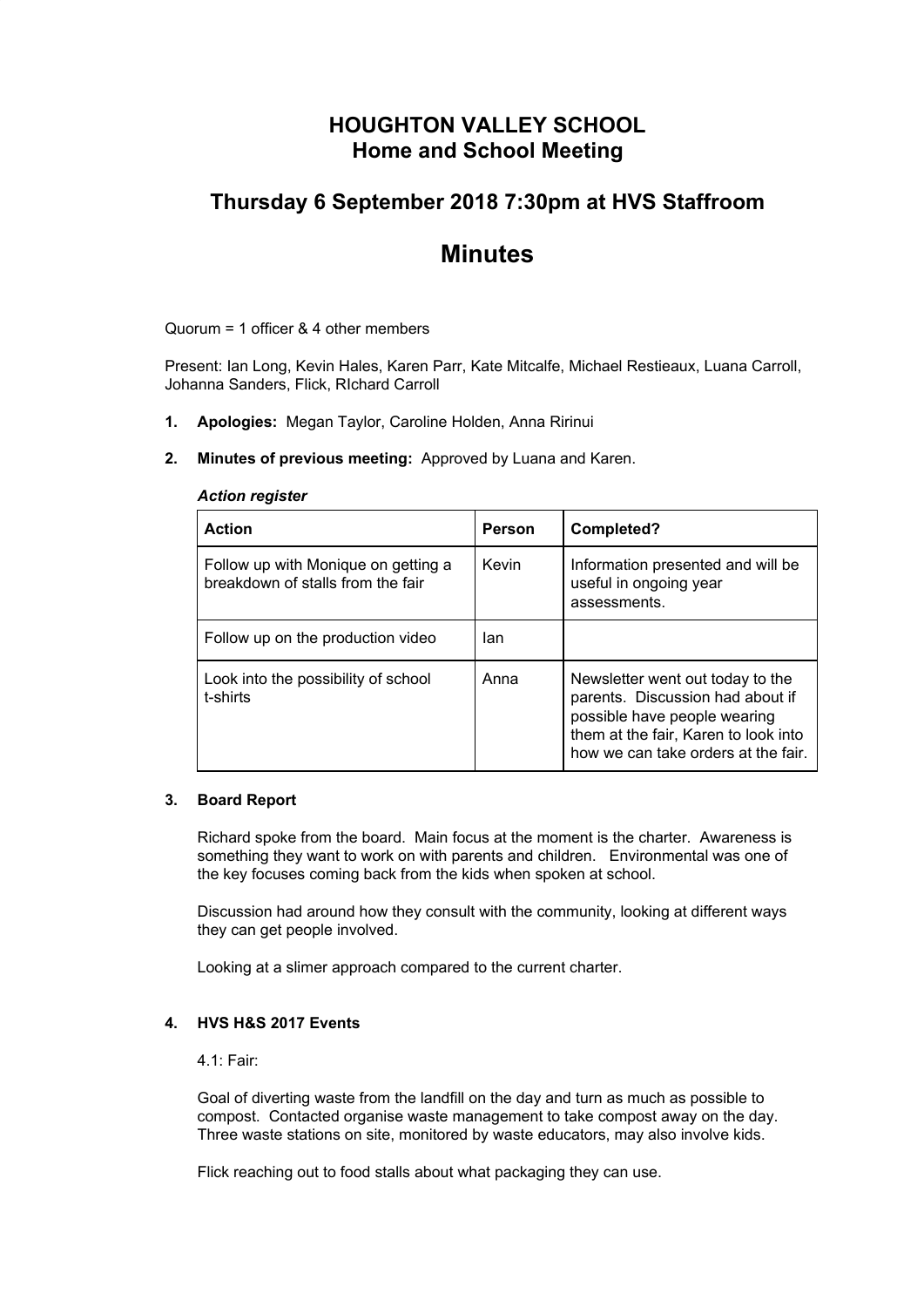# **HOUGHTON VALLEY SCHOOL Home and School Meeting**

# **Thursday 6 September 2018 7:30pm at HVS Staffroom**

# **Minutes**

Quorum = 1 officer & 4 other members

Present: Ian Long, Kevin Hales, Karen Parr, Kate Mitcalfe, Michael Restieaux, Luana Carroll, Johanna Sanders, Flick, RIchard Carroll

- **1. Apologies:** Megan Taylor, Caroline Holden, Anna Ririnui
- **2. Minutes of previous meeting:** Approved by Luana and Karen.

#### *Action register*

| <b>Action</b>                                                            | Person | Completed?                                                                                                                                                                          |
|--------------------------------------------------------------------------|--------|-------------------------------------------------------------------------------------------------------------------------------------------------------------------------------------|
| Follow up with Monique on getting a<br>breakdown of stalls from the fair | Kevin  | Information presented and will be<br>useful in ongoing year<br>assessments.                                                                                                         |
| Follow up on the production video                                        | lan    |                                                                                                                                                                                     |
| Look into the possibility of school<br>t-shirts                          | Anna   | Newsletter went out today to the<br>parents. Discussion had about if<br>possible have people wearing<br>them at the fair, Karen to look into<br>how we can take orders at the fair. |

#### **3. Board Report**

Richard spoke from the board. Main focus at the moment is the charter. Awareness is something they want to work on with parents and children. Environmental was one of the key focuses coming back from the kids when spoken at school.

Discussion had around how they consult with the community, looking at different ways they can get people involved.

Looking at a slimer approach compared to the current charter.

#### **4. HVS H&S 2017 Events**

4.1: Fair:

Goal of diverting waste from the landfill on the day and turn as much as possible to compost. Contacted organise waste management to take compost away on the day. Three waste stations on site, monitored by waste educators, may also involve kids.

Flick reaching out to food stalls about what packaging they can use.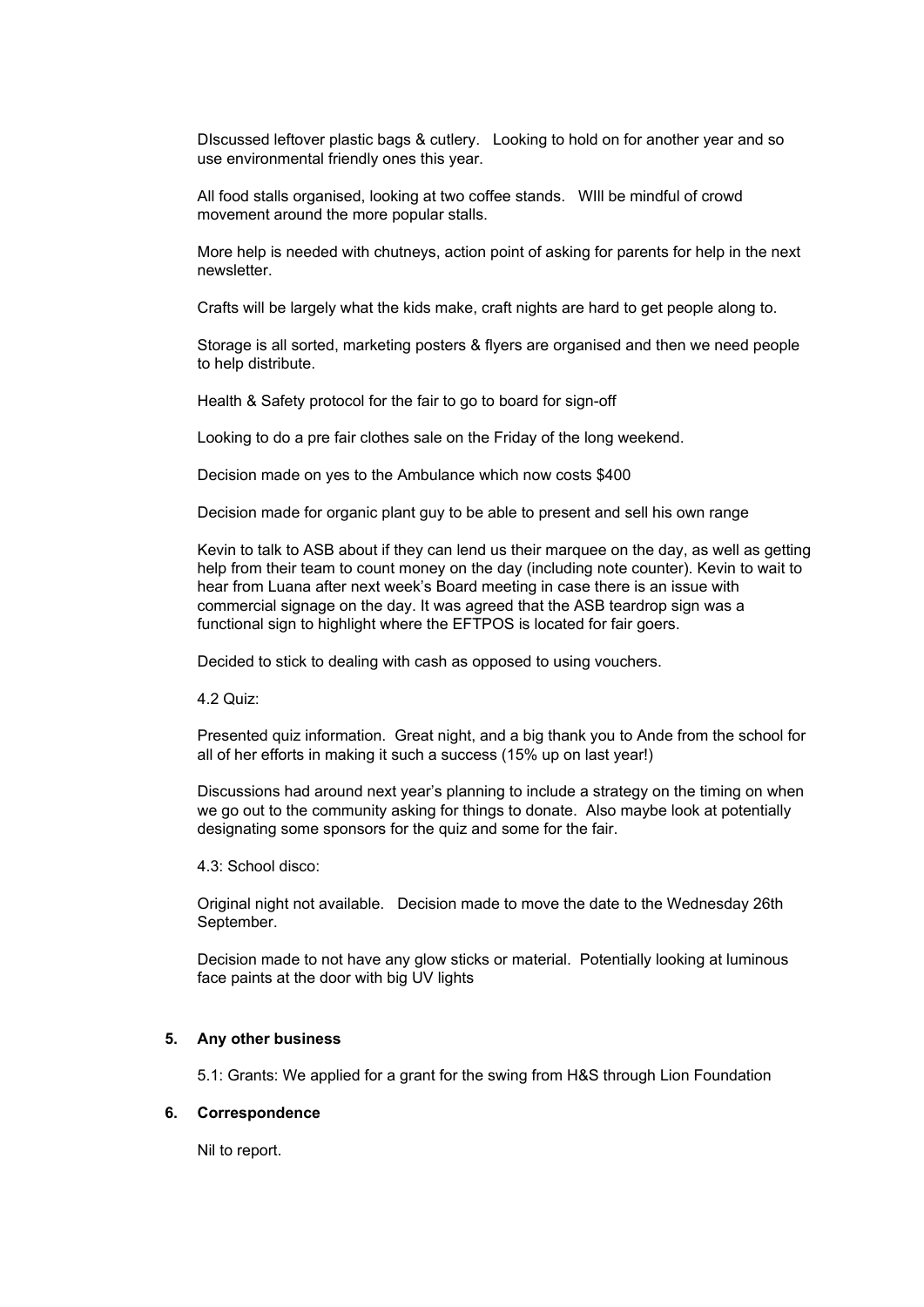DIscussed leftover plastic bags & cutlery. Looking to hold on for another year and so use environmental friendly ones this year.

All food stalls organised, looking at two coffee stands. WIll be mindful of crowd movement around the more popular stalls.

More help is needed with chutneys, action point of asking for parents for help in the next newsletter.

Crafts will be largely what the kids make, craft nights are hard to get people along to.

Storage is all sorted, marketing posters & flyers are organised and then we need people to help distribute.

Health & Safety protocol for the fair to go to board for sign-off

Looking to do a pre fair clothes sale on the Friday of the long weekend.

Decision made on yes to the Ambulance which now costs \$400

Decision made for organic plant guy to be able to present and sell his own range

Kevin to talk to ASB about if they can lend us their marquee on the day, as well as getting help from their team to count money on the day (including note counter). Kevin to wait to hear from Luana after next week's Board meeting in case there is an issue with commercial signage on the day. It was agreed that the ASB teardrop sign was a functional sign to highlight where the EFTPOS is located for fair goers.

Decided to stick to dealing with cash as opposed to using vouchers.

4.2 Quiz:

Presented quiz information. Great night, and a big thank you to Ande from the school for all of her efforts in making it such a success (15% up on last year!)

Discussions had around next year's planning to include a strategy on the timing on when we go out to the community asking for things to donate. Also maybe look at potentially designating some sponsors for the quiz and some for the fair.

4.3: School disco:

Original night not available. Decision made to move the date to the Wednesday 26th September.

Decision made to not have any glow sticks or material. Potentially looking at luminous face paints at the door with big UV lights

#### **5. Any other business**

5.1: Grants: We applied for a grant for the swing from H&S through Lion Foundation

#### **6. Correspondence**

Nil to report.